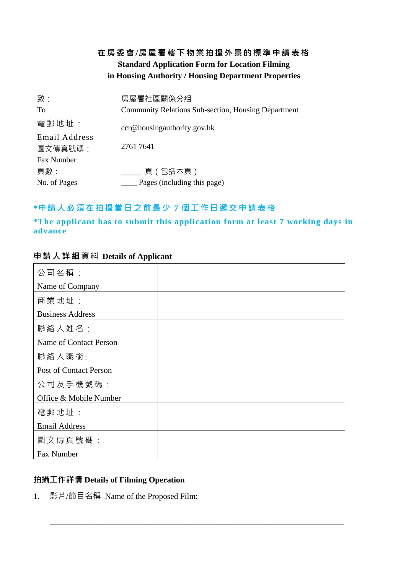## **在房委會 /房屋署轄下物業拍攝外景的標準申請表格 Standard Application Form for Location Filming in Housing Authority / Housing Department Properties**

| 房屋署社區關係分組                                                  |
|------------------------------------------------------------|
| <b>Community Relations Sub-section, Housing Department</b> |
| ccr@housingauthority.gov.hk                                |
|                                                            |
| 2761 7641                                                  |
|                                                            |
| 頁(包括本頁)                                                    |
| Pages (including this page)                                |
|                                                            |

## **\*申請人必須在拍攝當日之前最少 7 個工作日遞交申請表格**

**\*The applicant has to submit this application form at least 7 working days in advance** 

## **申請人詳細資料 Details of Applicant**

| 公司名稱:                   |  |
|-------------------------|--|
| Name of Company         |  |
| 商業地址:                   |  |
| <b>Business Address</b> |  |
| 聯絡人姓名:                  |  |
| Name of Contact Person  |  |
| 聯絡人職銜:                  |  |
| Post of Contact Person  |  |
| 公司及手機號碼:                |  |
| Office & Mobile Number  |  |
| 電郵地址:                   |  |
| <b>Email Address</b>    |  |
| 圖文傳真號碼:                 |  |
| Fax Number              |  |

\_\_\_\_\_\_\_\_\_\_\_\_\_\_\_\_\_\_\_\_\_\_\_\_\_\_\_\_\_\_\_\_\_\_\_\_\_\_\_\_\_\_\_\_\_\_\_\_\_\_\_\_\_\_\_\_\_\_\_\_\_\_\_\_\_\_\_\_\_\_\_\_

## **拍攝工作詳情 Details of Filming Operation**

1. 影片/節目名稱 Name of the Proposed Film: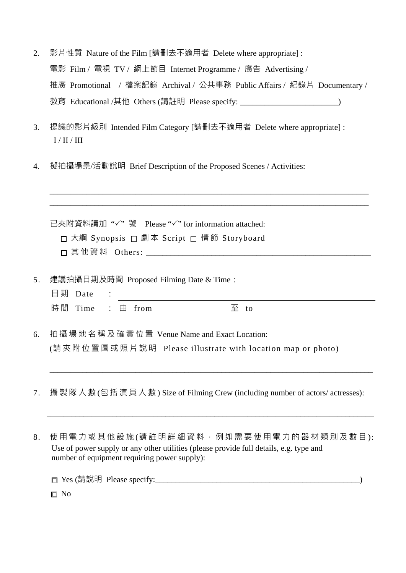- 2. 影片性質 Nature of the Film [請刪去不適用者 Delete where appropriate] : 電影 Film / 電視 TV / 網上節目 Internet Programme / 廣告 Advertising / 推廣 Promotional / 檔案記錄 Archival / 公共事務 Public Affairs / 紀錄片 Documentary / 教育 Educational/其他 Others (請註明 Please specify:  $\Box$
- 3. 提議的影片級別 Intended Film Category [請刪去不適用者 Delete where appropriate] :  $I/II/III$
- 4. 擬拍攝場景/活動說明 Brief Description of the Proposed Scenes / Activities:

|                  |                          |                                          | 已夾附資料請加"√"號 Please "√" for information attached:<br>□ 大綱 Synopsis □ 劇本 Script □ 情節 Storyboard |  |
|------------------|--------------------------|------------------------------------------|-----------------------------------------------------------------------------------------------|--|
|                  |                          |                                          |                                                                                               |  |
|                  |                          |                                          |                                                                                               |  |
| 5.               |                          | 建議拍攝日期及時間 Proposed Filming Date & Time : |                                                                                               |  |
| 日期 Date          | <b>Contract Contract</b> |                                          |                                                                                               |  |
| 時間 Time : 由 from |                          |                                          | $\overline{\mathbf{\mathfrak{D}}}$ to                                                         |  |
|                  |                          |                                          |                                                                                               |  |
| 6.               |                          |                                          | 拍 攝 場 地 名 稱 及 確 實 位 置 Venue Name and Exact Location:                                          |  |

\_\_\_\_\_\_\_\_\_\_\_\_\_\_\_\_\_\_\_\_\_\_\_\_\_\_\_\_\_\_\_\_\_\_\_\_\_\_\_\_\_\_\_\_\_\_\_\_\_\_\_\_\_\_\_\_\_\_\_\_\_\_\_\_\_\_\_\_\_\_\_\_\_\_\_\_\_\_

7. 攝製隊人數 (包括演員人數 ) Size of Filming Crew (including number of actors/ actresses):

\_\_\_\_\_\_\_\_\_\_\_\_\_\_\_\_\_\_\_\_\_\_\_\_\_\_\_\_\_\_\_\_\_\_\_\_\_\_\_\_\_\_\_\_\_\_\_\_\_\_\_\_\_\_\_\_\_\_\_\_\_\_\_\_\_\_\_\_\_\_\_\_\_\_\_\_\_\_\_

\_\_\_\_\_\_\_\_\_\_\_\_\_\_\_\_\_\_\_\_\_\_\_\_\_\_\_\_\_\_\_\_\_\_\_\_\_\_\_\_\_\_\_\_\_\_\_\_\_\_\_\_\_\_\_\_\_\_\_\_\_\_\_\_\_\_\_\_\_\_\_\_\_\_\_\_\_\_\_\_

- 8. 使用電力或其他設施(請註明詳細資料,例如需要使用電力的器材類別及數目): Use of power supply or any other utilities (please provide full details, e.g. type and number of equipment requiring power supply):
	- □ Yes (請說明 Please specify:\_\_\_\_\_\_\_\_\_\_\_\_\_\_\_\_\_\_\_\_\_\_\_\_\_\_\_\_\_\_\_\_\_\_\_\_\_\_\_\_\_\_\_\_\_\_\_\_\_\_)
	- □ No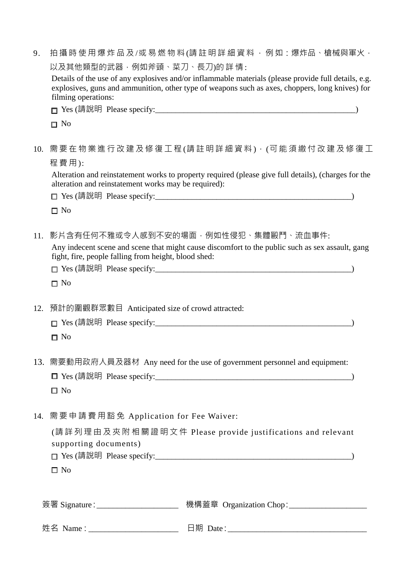| 9.  |                                                                  | 拍 攝 時 使 用 爆 炸 品 及 /或 易 燃 物 料 (請 註 明 詳 細 資 料 · 例 如 : 爆炸品、槍械與軍火 ·                                                                                                                                         |
|-----|------------------------------------------------------------------|---------------------------------------------------------------------------------------------------------------------------------------------------------------------------------------------------------|
|     | 以及其他類型的武器,例如斧頭、菜刀、長刀)的 詳 情:<br>filming operations:               | Details of the use of any explosives and/or inflammable materials (please provide full details, e.g.<br>explosives, guns and ammunition, other type of weapons such as axes, choppers, long knives) for |
|     | $\Box$ No                                                        |                                                                                                                                                                                                         |
| 10. | 程 費 用 ):<br>alteration and reinstatement works may be required): | 需 要 在 物 業 進 行 改 建 及 修 復 工 程 (請 註 明 詳 細 資 料 ) · (可 能 須 繳 付 改 建 及 修 復 工<br>Alteration and reinstatement works to property required (please give full details), (charges for the                           |
|     |                                                                  |                                                                                                                                                                                                         |
|     | $\Box$ No                                                        |                                                                                                                                                                                                         |
|     | fight, fire, people falling from height, blood shed:             | 11. 影片含有任何不雅或令人感到不安的場面,例如性侵犯、集體毆鬥、流血事件:<br>Any indecent scene and scene that might cause discomfort to the public such as sex assault, gang                                                             |
|     | $\Box$ No                                                        |                                                                                                                                                                                                         |
| 12. | 預計的圍觀群眾數目 Anticipated size of crowd attracted:                   |                                                                                                                                                                                                         |
|     | $\square$ No                                                     |                                                                                                                                                                                                         |
|     | $\square$ No                                                     | 13. 需要動用政府人員及器材 Any need for the use of government personnel and equipment:                                                                                                                             |
|     | 14. 需要申請費用豁免 Application for Fee Waiver:                         |                                                                                                                                                                                                         |
|     | supporting documents)                                            | (請詳列理由及夾附相關證明文件 Please provide justifications and relevant                                                                                                                                              |
|     | $\square$ No                                                     |                                                                                                                                                                                                         |
|     |                                                                  | 簽署 Signature: _______________________ 機構蓋章 Organization Chop: __________________                                                                                                                        |
|     |                                                                  |                                                                                                                                                                                                         |
|     |                                                                  |                                                                                                                                                                                                         |